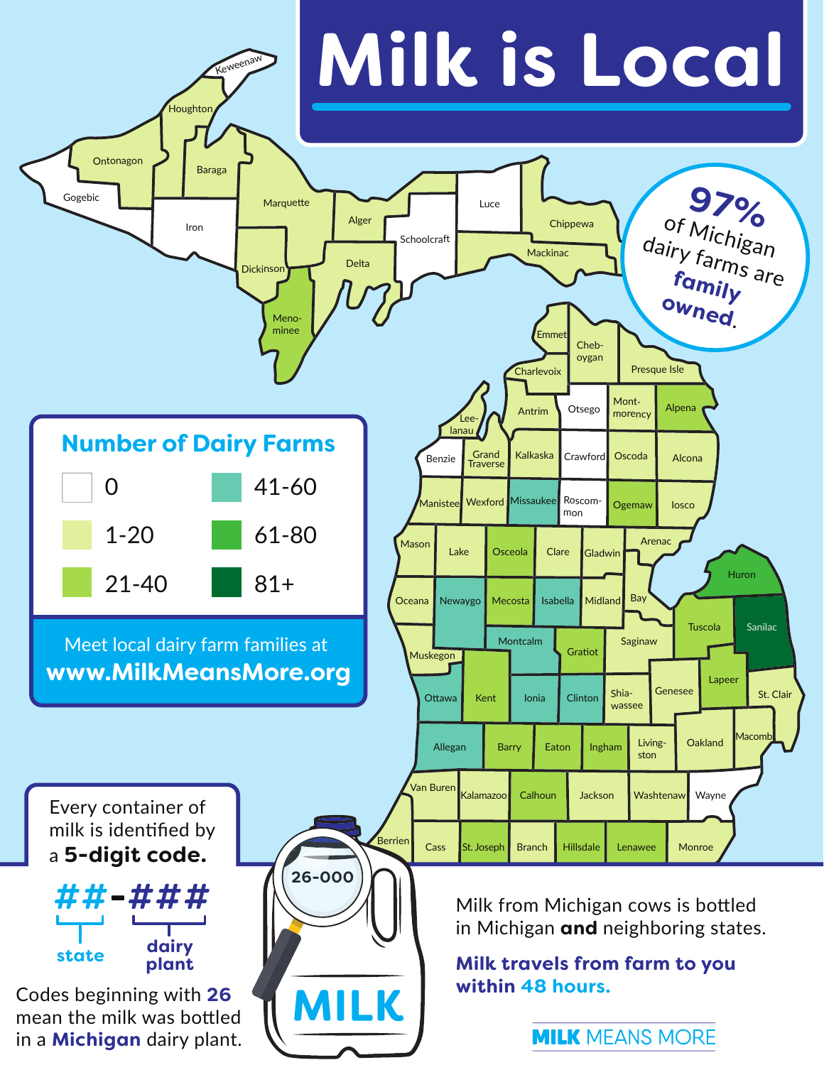